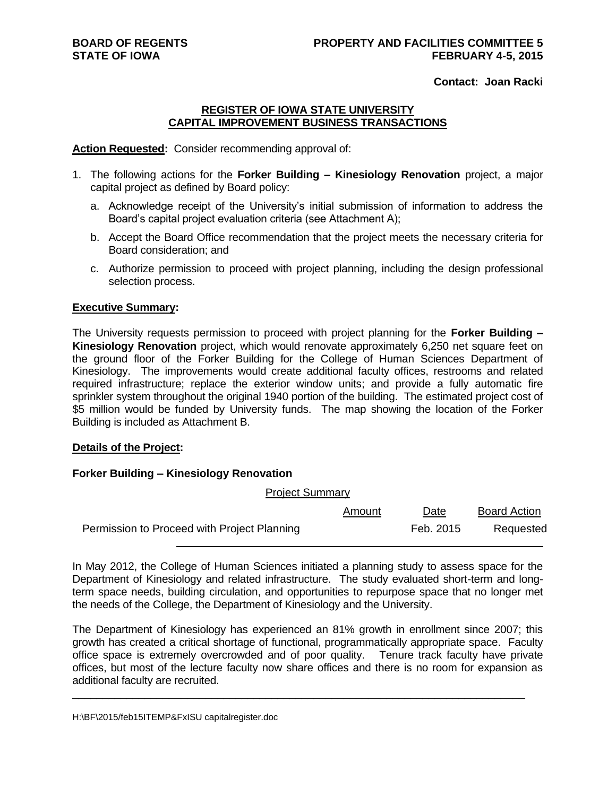**Contact: Joan Racki**

### **REGISTER OF IOWA STATE UNIVERSITY CAPITAL IMPROVEMENT BUSINESS TRANSACTIONS**

#### **Action Requested:** Consider recommending approval of:

- 1. The following actions for the **Forker Building – Kinesiology Renovation** project, a major capital project as defined by Board policy:
	- a. Acknowledge receipt of the University's initial submission of information to address the Board's capital project evaluation criteria (see Attachment A);
	- b. Accept the Board Office recommendation that the project meets the necessary criteria for Board consideration; and
	- c. Authorize permission to proceed with project planning, including the design professional selection process.

#### **Executive Summary:**

The University requests permission to proceed with project planning for the **Forker Building – Kinesiology Renovation** project, which would renovate approximately 6,250 net square feet on the ground floor of the Forker Building for the College of Human Sciences Department of Kinesiology. The improvements would create additional faculty offices, restrooms and related required infrastructure; replace the exterior window units; and provide a fully automatic fire sprinkler system throughout the original 1940 portion of the building. The estimated project cost of \$5 million would be funded by University funds. The map showing the location of the Forker Building is included as Attachment B.

#### **Details of the Project:**

#### **Forker Building – Kinesiology Renovation**

| <b>Project Summary</b>                      |        |           |                     |
|---------------------------------------------|--------|-----------|---------------------|
|                                             | Amount | Date      | <b>Board Action</b> |
| Permission to Proceed with Project Planning |        | Feb. 2015 | Requested           |

In May 2012, the College of Human Sciences initiated a planning study to assess space for the Department of Kinesiology and related infrastructure. The study evaluated short-term and longterm space needs, building circulation, and opportunities to repurpose space that no longer met the needs of the College, the Department of Kinesiology and the University.

The Department of Kinesiology has experienced an 81% growth in enrollment since 2007; this growth has created a critical shortage of functional, programmatically appropriate space. Faculty office space is extremely overcrowded and of poor quality. Tenure track faculty have private offices, but most of the lecture faculty now share offices and there is no room for expansion as additional faculty are recruited.

\_\_\_\_\_\_\_\_\_\_\_\_\_\_\_\_\_\_\_\_\_\_\_\_\_\_\_\_\_\_\_\_\_\_\_\_\_\_\_\_\_\_\_\_\_\_\_\_\_\_\_\_\_\_\_\_\_\_\_\_\_\_\_\_\_\_\_\_\_\_\_\_\_\_\_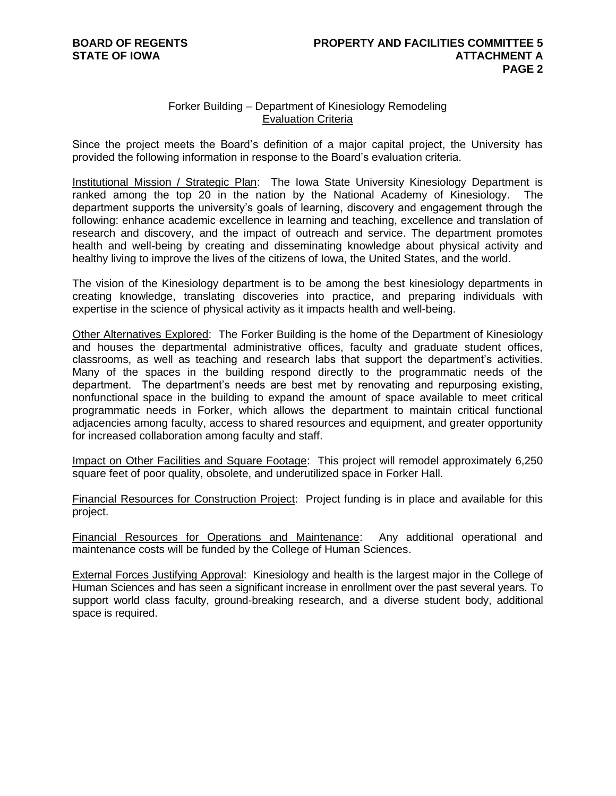## Forker Building – Department of Kinesiology Remodeling Evaluation Criteria

Since the project meets the Board's definition of a major capital project, the University has provided the following information in response to the Board's evaluation criteria.

Institutional Mission / Strategic Plan: The Iowa State University Kinesiology Department is ranked among the top 20 in the nation by the National Academy of Kinesiology. The department supports the university's goals of learning, discovery and engagement through the following: enhance academic excellence in learning and teaching, excellence and translation of research and discovery, and the impact of outreach and service. The department promotes health and well-being by creating and disseminating knowledge about physical activity and healthy living to improve the lives of the citizens of Iowa, the United States, and the world.

The vision of the Kinesiology department is to be among the best kinesiology departments in creating knowledge, translating discoveries into practice, and preparing individuals with expertise in the science of physical activity as it impacts health and well-being.

Other Alternatives Explored: The Forker Building is the home of the Department of Kinesiology and houses the departmental administrative offices, faculty and graduate student offices, classrooms, as well as teaching and research labs that support the department's activities. Many of the spaces in the building respond directly to the programmatic needs of the department. The department's needs are best met by renovating and repurposing existing, nonfunctional space in the building to expand the amount of space available to meet critical programmatic needs in Forker, which allows the department to maintain critical functional adjacencies among faculty, access to shared resources and equipment, and greater opportunity for increased collaboration among faculty and staff.

Impact on Other Facilities and Square Footage: This project will remodel approximately 6,250 square feet of poor quality, obsolete, and underutilized space in Forker Hall.

Financial Resources for Construction Project: Project funding is in place and available for this project.

Financial Resources for Operations and Maintenance: Any additional operational and maintenance costs will be funded by the College of Human Sciences.

External Forces Justifying Approval: Kinesiology and health is the largest major in the College of Human Sciences and has seen a significant increase in enrollment over the past several years. To support world class faculty, ground-breaking research, and a diverse student body, additional space is required.